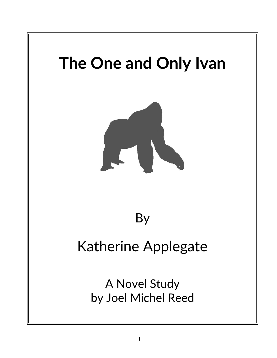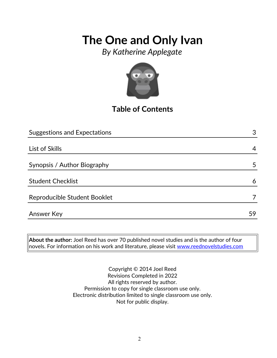*By Katherine Applegate*



## **Table of Contents**

| <b>Suggestions and Expectations</b> | 3  |
|-------------------------------------|----|
|                                     |    |
| List of Skills                      | 4  |
|                                     |    |
| Synopsis / Author Biography         | 5  |
|                                     |    |
| <b>Student Checklist</b>            | 6  |
|                                     |    |
| Reproducible Student Booklet        |    |
| Answer Key                          | 59 |

**About the author:** Joel Reed has over 70 published novel studies and is the author of four  $|$ novels. For information on his work and literature, please visit [www.reednovelstudies.com](http://www.reednovelstudies.com/)

> Copyright © 2014 Joel Reed Revisions Completed in 2022 All rights reserved by author. Permission to copy for single classroom use only. Electronic distribution limited to single classroom use only. Not for public display.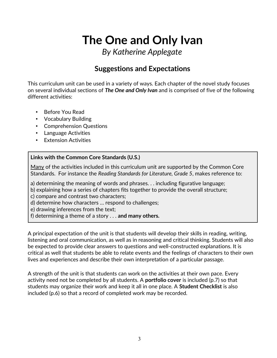*By Katherine Applegate*

## **Suggestions and Expectations**

This curriculum unit can be used in a variety of ways. Each chapter of the novel study focuses on several individual sections of *The One and Only Ivan* and is comprised of five of the following different activities:

- Before You Read
- Vocabulary Building
- Comprehension Questions
- Language Activities
- **Extension Activities**

### **Links with the Common Core Standards (U.S.)**

Many of the activities included in this curriculum unit are supported by the Common Core Standards. For instance the *Reading Standards for Literature, Grade 5*, makes reference to:

a) determining the meaning of words and phrases. . . including figurative language;

b) explaining how a series of chapters fits together to provide the overall structure;

c) compare and contrast two characters;

d) determine how characters … respond to challenges;

e) drawing inferences from the text;

f) determining a theme of a story . . . **and many others.**

A principal expectation of the unit is that students will develop their skills in reading, writing, listening and oral communication, as well as in reasoning and critical thinking. Students will also be expected to provide clear answers to questions and well-constructed explanations. It is critical as well that students be able to relate events and the feelings of characters to their own lives and experiences and describe their own interpretation of a particular passage.

A strength of the unit is that students can work on the activities at their own pace. Every activity need not be completed by all students. A **portfolio cover** is included (p.7) so that students may organize their work and keep it all in one place. A **Student Checklist** is also included (p.6) so that a record of completed work may be recorded.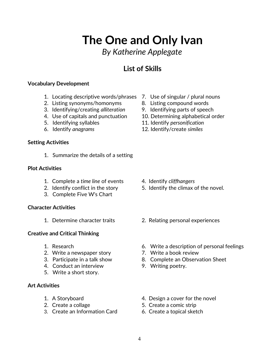## *By Katherine Applegate*

## **List of Skills**

### **Vocabulary Development**

- 1. Locating descriptive words/phrases 7. Use of singular / plural nouns
- 2. Listing synonyms/homonyms 8. Listing compound words
- 3. Identifying/creating *alliteration* 9. Identifying parts of speech
- 
- 
- 

### **Setting Activities**

1. Summarize the details of a setting

### **Plot Activities**

- 1. Complete a *time line* of events 4. Identify *cliffhangers*
- 
- 3. Complete Five W's Chart

### **Character Activities**

### **Creative and Critical Thinking**

- 
- 2. Write a newspaper story **7. Write a book review**
- 
- 4. Conduct an interview 9. Writing poetry.
- 5. Write a short story.

### **Art Activities**

- 
- 
- 3. Create an Information Card 6. Create a topical sketch
- 
- 
- 
- 4. Use of capitals and punctuation 10. Determining alphabetical order
- 5. Identifying syllables 11. Identify *personification*
- 6. Identify *anagrams* 12. Identify/create *similes*

- 
- 2. Identify conflict in the story 5. Identify the climax of the novel.
- 1. Determine character traits 2. Relating personal experiences
- 1. Research 6. Write a description of personal feelings
	-
- 3. Participate in a talk show 8. Complete an Observation Sheet
	-
- 1. A Storyboard **1.** A Storyboard **1.** A Storyboard
- 2. Create a collage 5. Create a comic strip
	-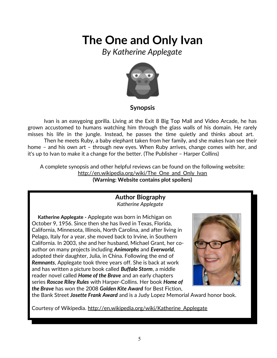*By Katherine Applegate*



### **Synopsis**

Ivan is an easygoing gorilla. Living at the Exit 8 Big Top Mall and Video Arcade, he has grown accustomed to humans watching him through the glass walls of his domain. He rarely misses his life in the jungle. Instead, he passes the time quietly and thinks about art. Then he meets Ruby, a baby elephant taken from her family, and she makes Ivan see their home – and his own art – through new eyes. When Ruby arrives, change comes with her, and it's up to Ivan to make it a change for the better. (The Publisher – Harper Collins)

A complete synopsis and other helpful reviews can be found on the following website: http://en.wikipedia.org/wiki/The One and Only Ivan **(Warning: Website contains plot spoilers)**

### **Author Biography** *Katherine Applegate*

 **Katherine Applegate -** Applegate was born in Michigan on October 9, 1956. Since then she has lived in Texas, Florida, California, Minnesota, Illinois, North Carolina, and after living in Pelago, Italy for a year, she moved back to Irvine, in Southern California. In 2003, she and her husband, Michael Grant, her coauthor on many projects including *Animorphs* and *Everworld*, adopted their daughter, Julia, in China. Following the end of *Remnants*, Applegate took three years off. She is back at work and has written a picture book called *Buffalo Storm*, a middle reader novel called *Home of the Brave* and an early chapters series *Roscoe Riley Rules* with Harper-Collins. Her book *Home of the Brave* has won the 2008 *Golden Kite Award* for Best Fiction,



the Bank Street *Josette Frank Award* and is a Judy Lopez Memorial Award honor book.

Courtesy of Wikipedia. [http://en.wikipedia.org/wiki/Katherine\\_Applegate](http://en.wikipedia.org/wiki/Katherine_Applegate)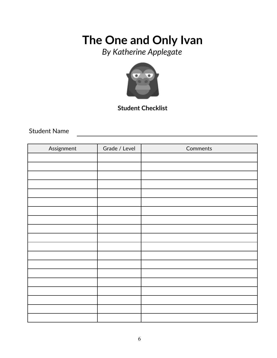*By Katherine Applegate*



**Student Checklist**

Student Name

| Assignment | Grade / Level | Comments |
|------------|---------------|----------|
|            |               |          |
|            |               |          |
|            |               |          |
|            |               |          |
|            |               |          |
|            |               |          |
|            |               |          |
|            |               |          |
|            |               |          |
|            |               |          |
|            |               |          |
|            |               |          |
|            |               |          |
|            |               |          |
|            |               |          |
|            |               |          |
|            |               |          |
|            |               |          |
|            |               |          |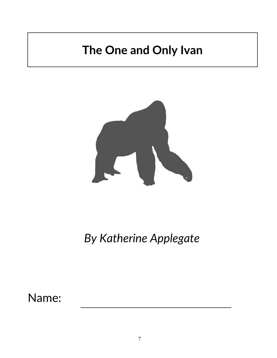

*By Katherine Applegate*

Name: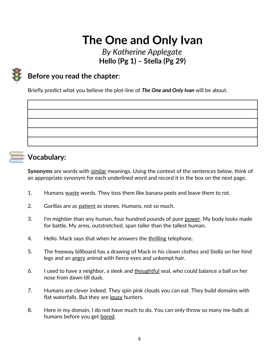## *By Katherine Applegate* **Hello (Pg 1) – Stella (Pg 29)**

## **Before you read the chapter**:

Briefly predict what you believe the plot-line of *The One and Only Ivan* will be about.



## **Vocabulary:**

**Synonyms** are words with similar meanings. Using the context of the sentences below, think of an appropriate synonym for each underlined word and record it in the box on the next page.

- 1. Humans waste words. They toss them like banana peels and leave them to rot.
- 2. Gorillas are as patient as stones. Humans, not so much.
- 3. I'm mightier than any human, four hundred pounds of pure power. My body looks made for battle. My arms, outstretched, span taller than the tallest human.
- 4. Hello. Mack says that when he answers the thrilling telephone.
- 5. The freeway billboard has a drawing of Mack in his clown clothes and Stella on her hind legs and an angry animal with fierce eyes and unkempt hair.
- 6. I used to have a neighbor, a sleek and thoughtful seal, who could balance a ball on her nose from dawn till dusk.
- 7. Humans are clever indeed. They spin pink clouds you can eat. They build domains with flat waterfalls. But they are lousy hunters.
- 8. Here in my domain, I do not have much to do. You can only throw so many me-balls at humans before you get bored.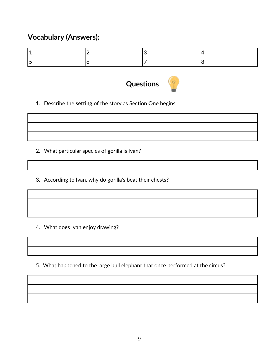## **Vocabulary (Answers):**



1. Describe the **setting** of the story as Section One begins.

- 2. What particular species of gorilla is Ivan?
- 3. According to Ivan, why do gorilla's beat their chests?

4. What does Ivan enjoy drawing?

5. What happened to the large bull elephant that once performed at the circus?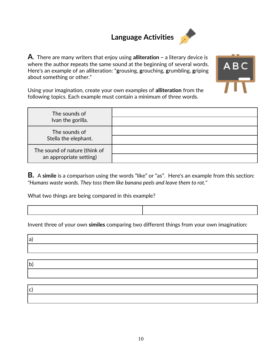## **Language Activities**



**A**. There are many writers that enjoy using **alliteration –** a literary device is where the author **r**epeats the same sound at the beginning of several words. Here's an example of an alliteration: "**g**rousing, **g**rouching, **g**rumbling, **g**riping about something or other."



1

Using your imagination, create your own examples of **alliteration** from the following topics. Each example must contain a minimum of three words.

| The sounds of<br>Ivan the gorilla.                       |  |
|----------------------------------------------------------|--|
| The sounds of<br>Stella the elephant.                    |  |
| The sound of nature (think of<br>an appropriate setting) |  |

**B.** A **simile** is a comparison using the words "like" or "as". Here's an example from this section: *"Humans waste words. They toss them like banana peels and leave them to rot."*

What two things are being compared in this example?

 $\Box$ 

Invent three of your own **similes** comparing two different things from your own imagination:

| 1 a j        |  |  |
|--------------|--|--|
|              |  |  |
|              |  |  |
| $\mathbf{b}$ |  |  |
|              |  |  |
|              |  |  |
| c            |  |  |
|              |  |  |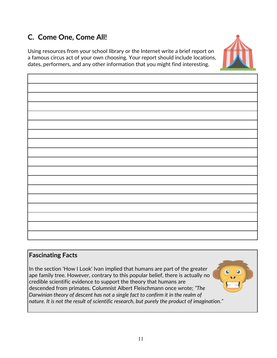## **C. Come One, Come All!**

Using resources from your school library or the Internet write a brief report on a famous circus act of your own choosing. Your report should include locations, dates, performers, and any other information that you might find interesting.



## **Fascinating Facts**

In the section 'How I Look' Ivan implied that humans are part of the greater ape family tree. However, contrary to this popular belief, there is actually no credible scientific evidence to support the theory that humans are descended from primates. Columnist Albert Fleischmann once wrote; *"The Darwinian theory of descent has not a single fact to confirm it in the realm of nature. It is not the result of scientific research, but purely the product of imagination."*